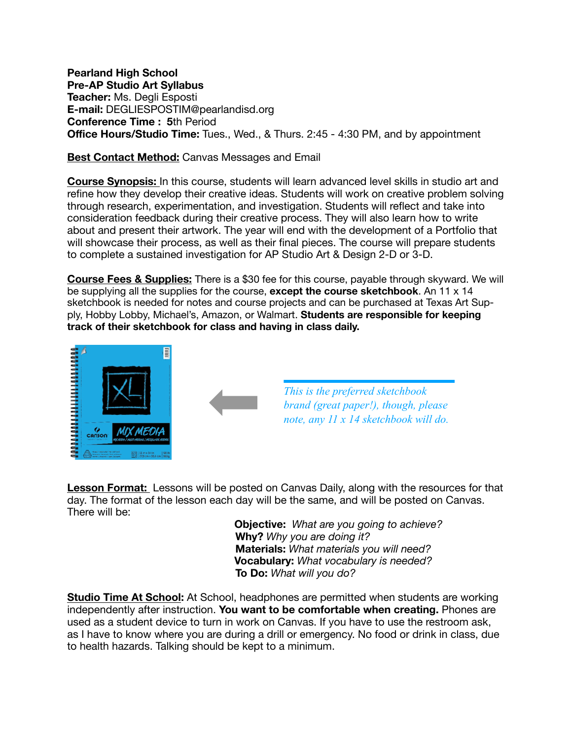**Pearland High School Pre-AP Studio Art Syllabus Teacher:** Ms. Degli Esposti **E-mail:** DEGLIESPOSTIM@pearlandisd.org **Conference Time : 5**th Period **Office Hours/Studio Time:** Tues., Wed., & Thurs. 2:45 - 4:30 PM, and by appointment

## **Best Contact Method:** Canvas Messages and Email

**Course Synopsis:** In this course, students will learn advanced level skills in studio art and refine how they develop their creative ideas. Students will work on creative problem solving through research, experimentation, and investigation. Students will reflect and take into consideration feedback during their creative process. They will also learn how to write about and present their artwork. The year will end with the development of a Portfolio that will showcase their process, as well as their final pieces. The course will prepare students to complete a sustained investigation for AP Studio Art & Design 2-D or 3-D.

**Course Fees & Supplies:** There is a \$30 fee for this course, payable through skyward. We will be supplying all the supplies for the course, **except the course sketchbook**. An 11 x 14 sketchbook is needed for notes and course projects and can be purchased at Texas Art Supply, Hobby Lobby, Michael's, Amazon, or Walmart. **Students are responsible for keeping track of their sketchbook for class and having in class daily.**



**Lesson Format:** Lessons will be posted on Canvas Daily, along with the resources for that day. The format of the lesson each day will be the same, and will be posted on Canvas. There will be:

> **Objective:** *What are you going to achieve?*  **Why?** *Why you are doing it?*  **Materials:** *What materials you will need?* **Vocabulary:** *What vocabulary is needed?*  **To Do:** *What will you do?*

**Studio Time At School:** At School, headphones are permitted when students are working independently after instruction. **You want to be comfortable when creating.** Phones are used as a student device to turn in work on Canvas. If you have to use the restroom ask, as I have to know where you are during a drill or emergency. No food or drink in class, due to health hazards. Talking should be kept to a minimum.